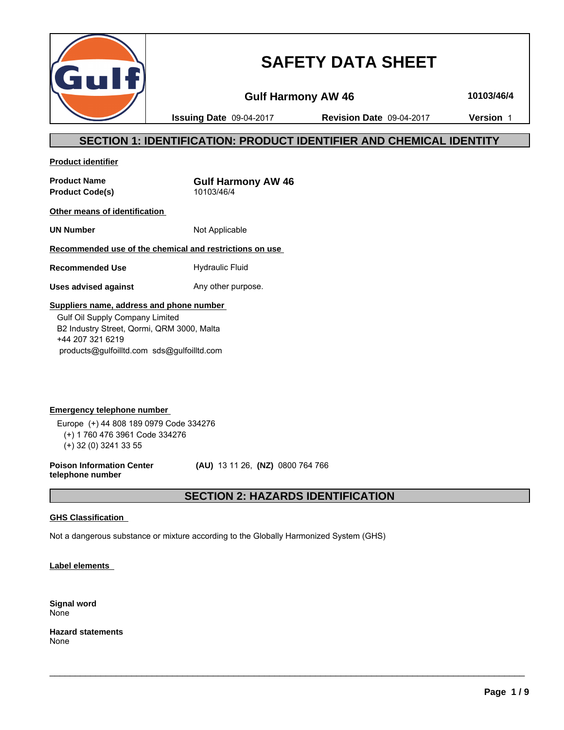

# **SAFETY DATA SHEET**

**Gulf Harmony AW 46 10103/46/4**

**Issuing Date** 09-04-2017 **Revision Date** 09-04-2017 **Version** 1

# **SECTION 1: IDENTIFICATION: PRODUCT IDENTIFIER AND CHEMICAL IDENTITY**

**Product identifier**

**Product Name**<br> **Product Code(s)**<br> **Product Code(s)**<br> **CODEC 10103/46/4 Product Code(s)** 

**Other means of identification** 

**UN Number** Not Applicable

# **Recommended use of the chemical and restrictions on use**

**Recommended Use** Hydraulic Fluid

**Uses advised against** Any other purpose.

# **Suppliers name, address and phone number**

 Gulf Oil Supply Company Limited B2 Industry Street, Qormi, QRM 3000, Malta +44 207 321 6219 products@gulfoilltd.com sds@gulfoilltd.com

**Emergency telephone number**  Europe (+) 44 808 189 0979 Code 334276 (+) 1 760 476 3961 Code 334276 (+) 32 (0) 3241 33 55

**Poison Information Center telephone number**

 **(AU)** 13 11 26, **(NZ)** 0800 764 766

# **SECTION 2: HAZARDS IDENTIFICATION**

 $\_$  ,  $\_$  ,  $\_$  ,  $\_$  ,  $\_$  ,  $\_$  ,  $\_$  ,  $\_$  ,  $\_$  ,  $\_$  ,  $\_$  ,  $\_$  ,  $\_$  ,  $\_$  ,  $\_$  ,  $\_$  ,  $\_$  ,  $\_$  ,  $\_$  ,  $\_$  ,  $\_$  ,  $\_$  ,  $\_$  ,  $\_$  ,  $\_$  ,  $\_$  ,  $\_$  ,  $\_$  ,  $\_$  ,  $\_$  ,  $\_$  ,  $\_$  ,  $\_$  ,  $\_$  ,  $\_$  ,  $\_$  ,  $\_$  ,

# **GHS Classification**

Not a dangerous substance or mixture according to the Globally Harmonized System (GHS)

**Label elements** 

**Signal word** None

**Hazard statements** None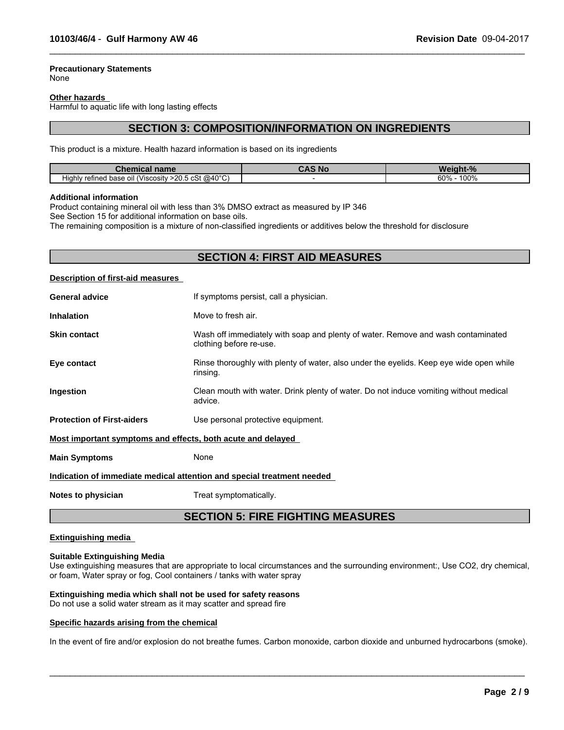# **Precautionary Statements**

None

#### **Other hazards**

Harmful to aquatic life with long lasting effects

# **SECTION 3: COMPOSITION/INFORMATION ON INGREDIENTS**

 $\_$  ,  $\_$  ,  $\_$  ,  $\_$  ,  $\_$  ,  $\_$  ,  $\_$  ,  $\_$  ,  $\_$  ,  $\_$  ,  $\_$  ,  $\_$  ,  $\_$  ,  $\_$  ,  $\_$  ,  $\_$  ,  $\_$  ,  $\_$  ,  $\_$  ,  $\_$  ,  $\_$  ,  $\_$  ,  $\_$  ,  $\_$  ,  $\_$  ,  $\_$  ,  $\_$  ,  $\_$  ,  $\_$  ,  $\_$  ,  $\_$  ,  $\_$  ,  $\_$  ,  $\_$  ,  $\_$  ,  $\_$  ,  $\_$  ,

This product is a mixture. Health hazard information is based on its ingredients

| name<br>шсаг                                                       | . Nr | $\mathbf{r}$ |
|--------------------------------------------------------------------|------|--------------|
| $>$ 20.5 cSt @40 °C)<br>refined base<br>. oil (Viscosity<br>Hiahlv |      | 100%<br>60%  |

#### **Additional information**

Product containing mineral oil with less than 3% DMSO extract as measured by IP 346

See Section 15 for additional information on base oils.

The remaining composition is a mixture of non-classified ingredients or additives below the threshold for disclosure

# **SECTION 4: FIRST AID MEASURES**

#### **Description of first-aid measures**

| <b>General advice</b>                                       | If symptoms persist, call a physician.                                                                      |
|-------------------------------------------------------------|-------------------------------------------------------------------------------------------------------------|
| <b>Inhalation</b>                                           | Move to fresh air.                                                                                          |
| <b>Skin contact</b>                                         | Wash off immediately with soap and plenty of water. Remove and wash contaminated<br>clothing before re-use. |
| Eye contact                                                 | Rinse thoroughly with plenty of water, also under the eyelids. Keep eye wide open while<br>rinsing.         |
| Ingestion                                                   | Clean mouth with water. Drink plenty of water. Do not induce vomiting without medical<br>advice.            |
| <b>Protection of First-aiders</b>                           | Use personal protective equipment.                                                                          |
| Most important symptoms and effects, both acute and delayed |                                                                                                             |
| <b>Main Symptoms</b>                                        | None                                                                                                        |
|                                                             | Indication of immediate medical attention and special treatment needed                                      |

**Notes to physician** Treat symptomatically.

# **SECTION 5: FIRE FIGHTING MEASURES**

#### **Extinguishing media**

#### **Suitable Extinguishing Media**

Use extinguishing measures that are appropriate to local circumstances and the surrounding environment:, Use CO2, dry chemical, or foam, Water spray or fog, Cool containers / tanks with water spray

# **Extinguishing media which shall not be used for safety reasons**

Do not use a solid water stream as it may scatter and spread fire

#### **Specific hazards arising from the chemical**

In the event of fire and/or explosion do not breathe fumes. Carbon monoxide, carbon dioxide and unburned hydrocarbons (smoke).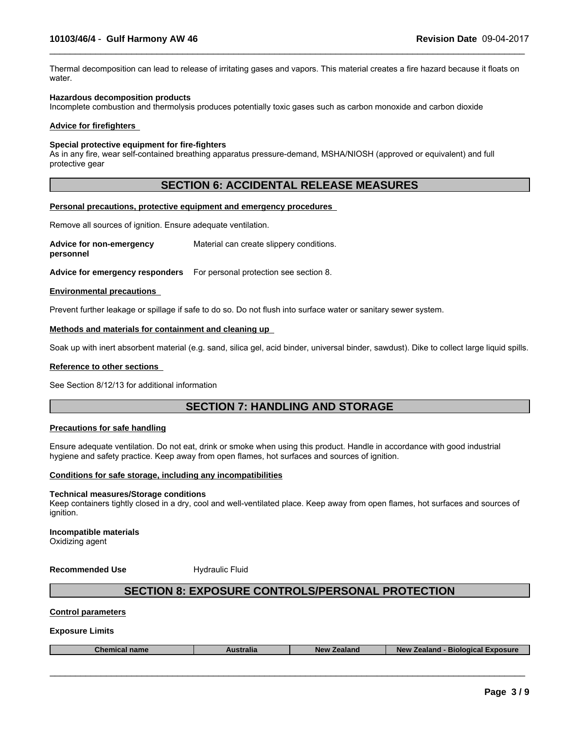Thermal decomposition can lead to release of irritating gases and vapors. This material creates a fire hazard because it floats on water.

 $\_$  ,  $\_$  ,  $\_$  ,  $\_$  ,  $\_$  ,  $\_$  ,  $\_$  ,  $\_$  ,  $\_$  ,  $\_$  ,  $\_$  ,  $\_$  ,  $\_$  ,  $\_$  ,  $\_$  ,  $\_$  ,  $\_$  ,  $\_$  ,  $\_$  ,  $\_$  ,  $\_$  ,  $\_$  ,  $\_$  ,  $\_$  ,  $\_$  ,  $\_$  ,  $\_$  ,  $\_$  ,  $\_$  ,  $\_$  ,  $\_$  ,  $\_$  ,  $\_$  ,  $\_$  ,  $\_$  ,  $\_$  ,  $\_$  ,

#### **Hazardous decomposition products**

Incomplete combustion and thermolysis produces potentially toxic gases such as carbon monoxide and carbon dioxide

#### **Advice for firefighters**

#### **Special protective equipment for fire-fighters**

As in any fire, wear self-contained breathing apparatus pressure-demand, MSHA/NIOSH (approved or equivalent) and full protective gear

# **SECTION 6: ACCIDENTAL RELEASE MEASURES**

#### **Personal precautions, protective equipment and emergency procedures**

Remove all sources of ignition. Ensure adequate ventilation.

**Advice for non-emergency personnel** Material can create slippery conditions.

**Advice for emergency responders** For personal protection see section 8.

#### **Environmental precautions**

Prevent further leakage or spillage if safe to do so. Do not flush into surface water or sanitary sewer system.

#### **Methods and materials for containment and cleaning up**

Soak up with inert absorbent material (e.g. sand, silica gel, acid binder, universal binder, sawdust). Dike to collect large liquid spills.

#### **Reference to other sections**

See Section 8/12/13 for additional information

# **SECTION 7: HANDLING AND STORAGE**

#### **Precautions for safe handling**

Ensure adequate ventilation. Do not eat, drink or smoke when using this product. Handle in accordance with good industrial hygiene and safety practice. Keep away from open flames, hot surfaces and sources of ignition.

#### **Conditions for safe storage, including any incompatibilities**

#### **Technical measures/Storage conditions**

Keep containers tightly closed in a dry, cool and well-ventilated place. Keep away from open flames, hot surfaces and sources of ignition.

**Incompatible materials** Oxidizing agent

**Recommended Use Hydraulic Fluid** 

# **SECTION 8: EXPOSURE CONTROLS/PERSONAL PROTECTION**

# **Control parameters**

#### **Exposure Limits**

| Chemical<br>Exposure<br>Zealand<br>$\tau$ ealand -<br>name<br>יינים וה<br><b>New</b><br><b>Biological L</b><br>Australia<br>$\Delta \mathbf{H}$ |
|-------------------------------------------------------------------------------------------------------------------------------------------------|
|-------------------------------------------------------------------------------------------------------------------------------------------------|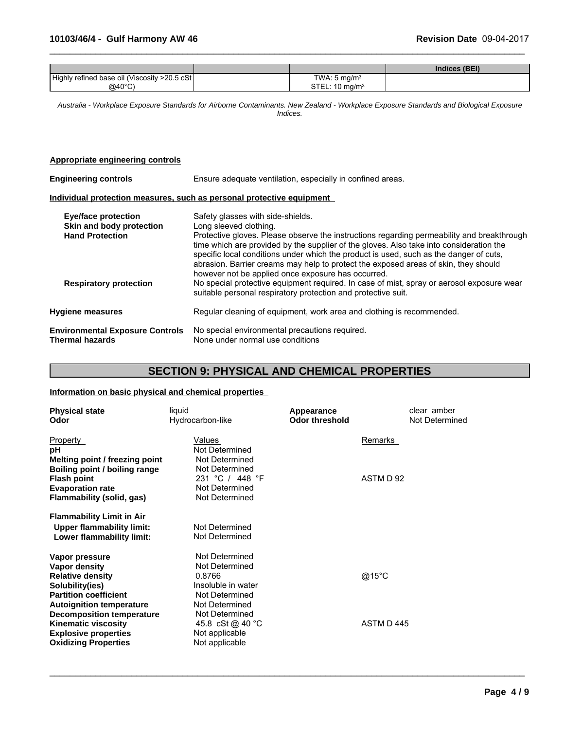|                                               |                           | Indices (BEI) |
|-----------------------------------------------|---------------------------|---------------|
| Highly refined base oil (Viscosity >20.5 cSt) | TWA: $5 \text{ mg/m}^3$   |               |
| $@40^{\circ}$ C)                              | STEL: $10 \text{ mg/m}^3$ |               |

 $\_$  ,  $\_$  ,  $\_$  ,  $\_$  ,  $\_$  ,  $\_$  ,  $\_$  ,  $\_$  ,  $\_$  ,  $\_$  ,  $\_$  ,  $\_$  ,  $\_$  ,  $\_$  ,  $\_$  ,  $\_$  ,  $\_$  ,  $\_$  ,  $\_$  ,  $\_$  ,  $\_$  ,  $\_$  ,  $\_$  ,  $\_$  ,  $\_$  ,  $\_$  ,  $\_$  ,  $\_$  ,  $\_$  ,  $\_$  ,  $\_$  ,  $\_$  ,  $\_$  ,  $\_$  ,  $\_$  ,  $\_$  ,  $\_$  ,

*Australia - Workplace Exposure Standards for Airborne Contaminants. New Zealand - Workplace Exposure Standards and Biological Exposure Indices.*

### **Appropriate engineering controls**

| <b>Engineering controls</b>                                                      | Ensure adequate ventilation, especially in confined areas.                                                                                                                                                                                                                                                                                                                                                                                                                                  |  |  |  |
|----------------------------------------------------------------------------------|---------------------------------------------------------------------------------------------------------------------------------------------------------------------------------------------------------------------------------------------------------------------------------------------------------------------------------------------------------------------------------------------------------------------------------------------------------------------------------------------|--|--|--|
|                                                                                  | Individual protection measures, such as personal protective equipment                                                                                                                                                                                                                                                                                                                                                                                                                       |  |  |  |
| <b>Eye/face protection</b><br>Skin and body protection<br><b>Hand Protection</b> | Safety glasses with side-shields.<br>Long sleeved clothing.<br>Protective gloves. Please observe the instructions regarding permeability and breakthrough<br>time which are provided by the supplier of the gloves. Also take into consideration the<br>specific local conditions under which the product is used, such as the danger of cuts,<br>abrasion. Barrier creams may help to protect the exposed areas of skin, they should<br>however not be applied once exposure has occurred. |  |  |  |
| <b>Respiratory protection</b>                                                    | No special protective equipment required. In case of mist, spray or aerosol exposure wear<br>suitable personal respiratory protection and protective suit.                                                                                                                                                                                                                                                                                                                                  |  |  |  |
| <b>Hygiene measures</b>                                                          | Regular cleaning of equipment, work area and clothing is recommended.                                                                                                                                                                                                                                                                                                                                                                                                                       |  |  |  |
| <b>Environmental Exposure Controls</b><br><b>Thermal hazards</b>                 | No special environmental precautions required.<br>None under normal use conditions                                                                                                                                                                                                                                                                                                                                                                                                          |  |  |  |

# **SECTION 9: PHYSICAL AND CHEMICAL PROPERTIES**

 $\_$  ,  $\_$  ,  $\_$  ,  $\_$  ,  $\_$  ,  $\_$  ,  $\_$  ,  $\_$  ,  $\_$  ,  $\_$  ,  $\_$  ,  $\_$  ,  $\_$  ,  $\_$  ,  $\_$  ,  $\_$  ,  $\_$  ,  $\_$  ,  $\_$  ,  $\_$  ,  $\_$  ,  $\_$  ,  $\_$  ,  $\_$  ,  $\_$  ,  $\_$  ,  $\_$  ,  $\_$  ,  $\_$  ,  $\_$  ,  $\_$  ,  $\_$  ,  $\_$  ,  $\_$  ,  $\_$  ,  $\_$  ,  $\_$  ,

# **Information on basic physical and chemical properties**

| <b>Physical state</b><br>Odor                                                                                                                    | liquid<br>Hydrocarbon-like                                                                           | Appearance<br><b>Odor threshold</b> | clear amber<br>Not Determined |
|--------------------------------------------------------------------------------------------------------------------------------------------------|------------------------------------------------------------------------------------------------------|-------------------------------------|-------------------------------|
| Property<br>рH<br>Melting point / freezing point<br>Boiling point / boiling range                                                                | Values<br>Not Determined<br>Not Determined<br>Not Determined                                         | Remarks                             |                               |
| <b>Flash point</b><br><b>Evaporation rate</b><br>Flammability (solid, gas)                                                                       | 231 °C / 448 °F<br>Not Determined<br>Not Determined                                                  | ASTM D 92                           |                               |
| <b>Flammability Limit in Air</b><br><b>Upper flammability limit:</b><br>Lower flammability limit:                                                | Not Determined<br>Not Determined                                                                     |                                     |                               |
| Vapor pressure<br>Vapor density<br><b>Relative density</b><br>Solubility(ies)<br><b>Partition coefficient</b><br><b>Autoignition temperature</b> | Not Determined<br>Not Determined<br>0.8766<br>Insoluble in water<br>Not Determined<br>Not Determined | @15°C                               |                               |
| <b>Decomposition temperature</b><br><b>Kinematic viscosity</b><br><b>Explosive properties</b><br><b>Oxidizing Properties</b>                     | Not Determined<br>45.8 cSt @ 40 °C<br>Not applicable<br>Not applicable                               | ASTM D445                           |                               |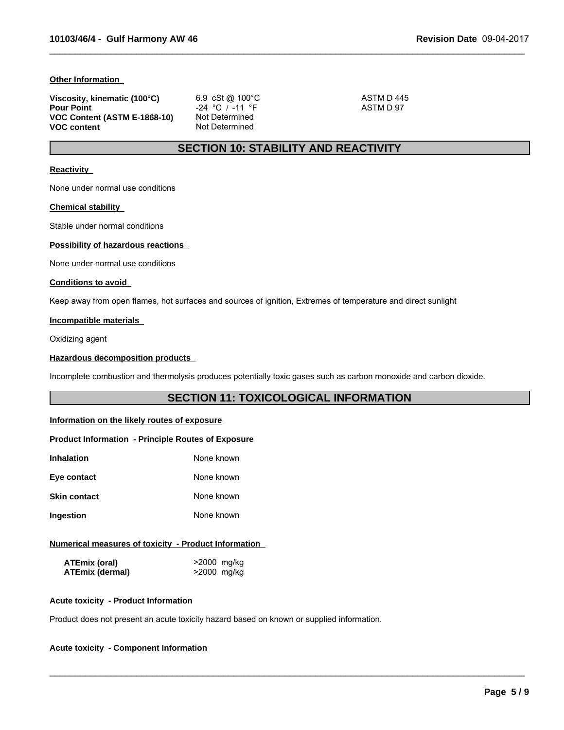#### **Other Information**

| Viscosity, kinematic (100°C) | 6.9 cSt @ 100 °C  | ASTM D 445 |
|------------------------------|-------------------|------------|
| <b>Pour Point</b>            | $-24$ °C / -11 °F | ASTM D 97  |
| VOC Content (ASTM E-1868-10) | Not Determined    |            |
| <b>VOC content</b>           | Not Determined    |            |

# **SECTION 10: STABILITY AND REACTIVITY**

 $\_$  ,  $\_$  ,  $\_$  ,  $\_$  ,  $\_$  ,  $\_$  ,  $\_$  ,  $\_$  ,  $\_$  ,  $\_$  ,  $\_$  ,  $\_$  ,  $\_$  ,  $\_$  ,  $\_$  ,  $\_$  ,  $\_$  ,  $\_$  ,  $\_$  ,  $\_$  ,  $\_$  ,  $\_$  ,  $\_$  ,  $\_$  ,  $\_$  ,  $\_$  ,  $\_$  ,  $\_$  ,  $\_$  ,  $\_$  ,  $\_$  ,  $\_$  ,  $\_$  ,  $\_$  ,  $\_$  ,  $\_$  ,  $\_$  ,

#### **Reactivity**

None under normal use conditions

#### **Chemical stability**

Stable under normal conditions

## **Possibility of hazardous reactions**

None under normal use conditions

#### **Conditions to avoid**

Keep away from open flames, hot surfaces and sources of ignition, Extremes of temperature and direct sunlight

# **Incompatible materials**

Oxidizing agent

#### **Hazardous decomposition products**

Incomplete combustion and thermolysis produces potentially toxic gases such as carbon monoxide and carbon dioxide.

# **SECTION 11: TOXICOLOGICAL INFORMATION**

 $\_$  ,  $\_$  ,  $\_$  ,  $\_$  ,  $\_$  ,  $\_$  ,  $\_$  ,  $\_$  ,  $\_$  ,  $\_$  ,  $\_$  ,  $\_$  ,  $\_$  ,  $\_$  ,  $\_$  ,  $\_$  ,  $\_$  ,  $\_$  ,  $\_$  ,  $\_$  ,  $\_$  ,  $\_$  ,  $\_$  ,  $\_$  ,  $\_$  ,  $\_$  ,  $\_$  ,  $\_$  ,  $\_$  ,  $\_$  ,  $\_$  ,  $\_$  ,  $\_$  ,  $\_$  ,  $\_$  ,  $\_$  ,  $\_$  ,

### **Information on the likely routes of exposure**

#### **Product Information - Principle Routes of Exposure**

| Inhalation          | None known |
|---------------------|------------|
| Eye contact         | None known |
| <b>Skin contact</b> | None known |
| Ingestion           | None known |

### **Numerical measures of toxicity - Product Information**

| ATEmix (oral)          | >2000 mg/kg |
|------------------------|-------------|
| <b>ATEmix (dermal)</b> | >2000 mg/kg |

#### **Acute toxicity - Product Information**

Product does not present an acute toxicity hazard based on known or supplied information.

# **Acute toxicity - Component Information**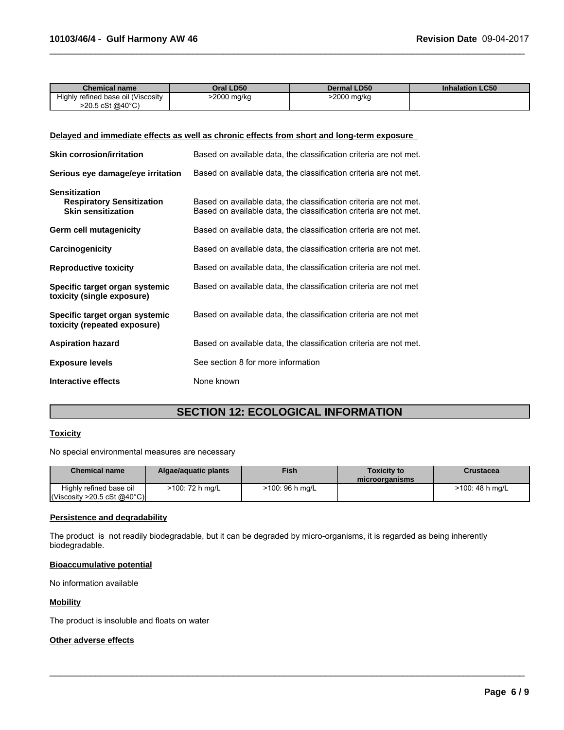| Chemical name                      | Oral LD50                  | <b>Dermal LD50</b> | <b>Inhalation LC50</b> |
|------------------------------------|----------------------------|--------------------|------------------------|
| Highly refined base oil (Viscosity | 2000 mg/kg <sup>&gt;</sup> | >2000 mg/kg        |                        |
| >20.5 cSt @40°C                    |                            |                    |                        |

 $\_$  ,  $\_$  ,  $\_$  ,  $\_$  ,  $\_$  ,  $\_$  ,  $\_$  ,  $\_$  ,  $\_$  ,  $\_$  ,  $\_$  ,  $\_$  ,  $\_$  ,  $\_$  ,  $\_$  ,  $\_$  ,  $\_$  ,  $\_$  ,  $\_$  ,  $\_$  ,  $\_$  ,  $\_$  ,  $\_$  ,  $\_$  ,  $\_$  ,  $\_$  ,  $\_$  ,  $\_$  ,  $\_$  ,  $\_$  ,  $\_$  ,  $\_$  ,  $\_$  ,  $\_$  ,  $\_$  ,  $\_$  ,  $\_$  ,

# **Delayed and immediate effects as well as chronic effects from short and long-term exposure**

| <b>Skin corrosion/irritation</b>                                                      | Based on available data, the classification criteria are not met.                                                                      |
|---------------------------------------------------------------------------------------|----------------------------------------------------------------------------------------------------------------------------------------|
| Serious eye damage/eye irritation                                                     | Based on available data, the classification criteria are not met.                                                                      |
| <b>Sensitization</b><br><b>Respiratory Sensitization</b><br><b>Skin sensitization</b> | Based on available data, the classification criteria are not met.<br>Based on available data, the classification criteria are not met. |
| Germ cell mutagenicity                                                                | Based on available data, the classification criteria are not met.                                                                      |
| Carcinogenicity                                                                       | Based on available data, the classification criteria are not met.                                                                      |
| <b>Reproductive toxicity</b>                                                          | Based on available data, the classification criteria are not met.                                                                      |
| Specific target organ systemic<br>toxicity (single exposure)                          | Based on available data, the classification criteria are not met                                                                       |
| Specific target organ systemic<br>toxicity (repeated exposure)                        | Based on available data, the classification criteria are not met                                                                       |
| <b>Aspiration hazard</b>                                                              | Based on available data, the classification criteria are not met.                                                                      |
| <b>Exposure levels</b>                                                                | See section 8 for more information                                                                                                     |
| Interactive effects                                                                   | None known                                                                                                                             |

# **SECTION 12: ECOLOGICAL INFORMATION**

### **Toxicity**

No special environmental measures are necessary

| <b>Chemical name</b>                                   | Algae/aguatic plants | <b>Fish</b>     | <b>Toxicity to</b><br>microorganisms | Crustacea       |
|--------------------------------------------------------|----------------------|-----------------|--------------------------------------|-----------------|
| Highly refined base oil<br> Viscosity > 20.5 cSt @40°C | >100: 72 h mg/L      | >100: 96 h mg/L |                                      | >100: 48 h mg/L |

 $\_$  ,  $\_$  ,  $\_$  ,  $\_$  ,  $\_$  ,  $\_$  ,  $\_$  ,  $\_$  ,  $\_$  ,  $\_$  ,  $\_$  ,  $\_$  ,  $\_$  ,  $\_$  ,  $\_$  ,  $\_$  ,  $\_$  ,  $\_$  ,  $\_$  ,  $\_$  ,  $\_$  ,  $\_$  ,  $\_$  ,  $\_$  ,  $\_$  ,  $\_$  ,  $\_$  ,  $\_$  ,  $\_$  ,  $\_$  ,  $\_$  ,  $\_$  ,  $\_$  ,  $\_$  ,  $\_$  ,  $\_$  ,  $\_$  ,

#### **Persistence and degradability**

The product is not readily biodegradable, but it can be degraded by micro-organisms, it is regarded as being inherently biodegradable.

## **Bioaccumulative potential**

No information available

# **Mobility**

The product is insoluble and floats on water

### **Other adverse effects**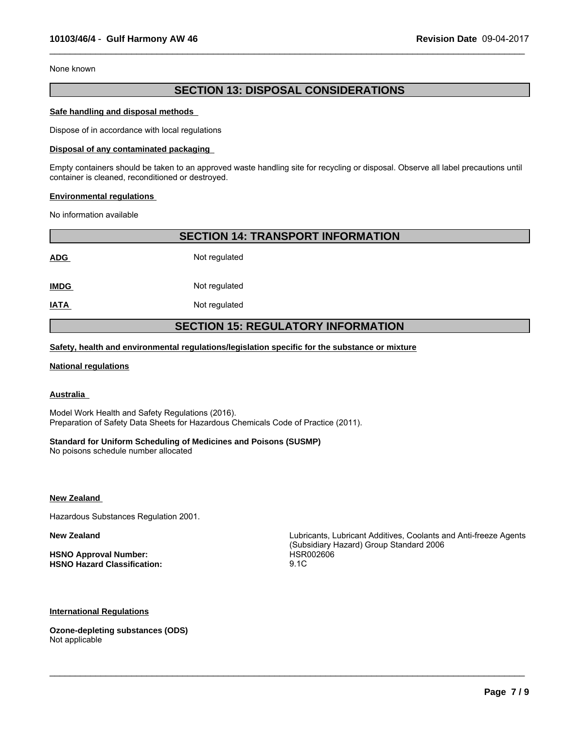None known

# **SECTION 13: DISPOSAL CONSIDERATIONS**

 $\_$  ,  $\_$  ,  $\_$  ,  $\_$  ,  $\_$  ,  $\_$  ,  $\_$  ,  $\_$  ,  $\_$  ,  $\_$  ,  $\_$  ,  $\_$  ,  $\_$  ,  $\_$  ,  $\_$  ,  $\_$  ,  $\_$  ,  $\_$  ,  $\_$  ,  $\_$  ,  $\_$  ,  $\_$  ,  $\_$  ,  $\_$  ,  $\_$  ,  $\_$  ,  $\_$  ,  $\_$  ,  $\_$  ,  $\_$  ,  $\_$  ,  $\_$  ,  $\_$  ,  $\_$  ,  $\_$  ,  $\_$  ,  $\_$  ,

#### **Safe handling and disposal methods**

Dispose of in accordance with local regulations

#### **Disposal of any contaminated packaging**

Empty containers should be taken to an approved waste handling site for recycling or disposal. Observe all label precautions until container is cleaned, reconditioned or destroyed.

#### **Environmental regulations**

No information available

**SECTION 14: TRANSPORT INFORMATION**

**ADG** Not regulated

**IMDG** Not regulated

**IATA** Not regulated

# **SECTION 15: REGULATORY INFORMATION**

**Safety, health and environmental regulations/legislation specific for the substance or mixture**

#### **National regulations**

# **Australia**

Model Work Health and Safety Regulations (2016). Preparation of Safety Data Sheets for Hazardous Chemicals Code of Practice (2011).

### **Standard for Uniform Scheduling of Medicines and Poisons (SUSMP)**

No poisons schedule number allocated

**New Zealand** 

Hazardous Substances Regulation 2001.

**HSNO Approval Number:** HSR002606 **HSNO Hazard Classification:** 9.1C

**New Zealand** Lubricants, Lubricant Additives, Coolants and Anti-freeze Agents (Subsidiary Hazard) Group Standard 2006

 $\_$  ,  $\_$  ,  $\_$  ,  $\_$  ,  $\_$  ,  $\_$  ,  $\_$  ,  $\_$  ,  $\_$  ,  $\_$  ,  $\_$  ,  $\_$  ,  $\_$  ,  $\_$  ,  $\_$  ,  $\_$  ,  $\_$  ,  $\_$  ,  $\_$  ,  $\_$  ,  $\_$  ,  $\_$  ,  $\_$  ,  $\_$  ,  $\_$  ,  $\_$  ,  $\_$  ,  $\_$  ,  $\_$  ,  $\_$  ,  $\_$  ,  $\_$  ,  $\_$  ,  $\_$  ,  $\_$  ,  $\_$  ,  $\_$  ,

### **International Regulations**

**Ozone-depleting substances (ODS)** Not applicable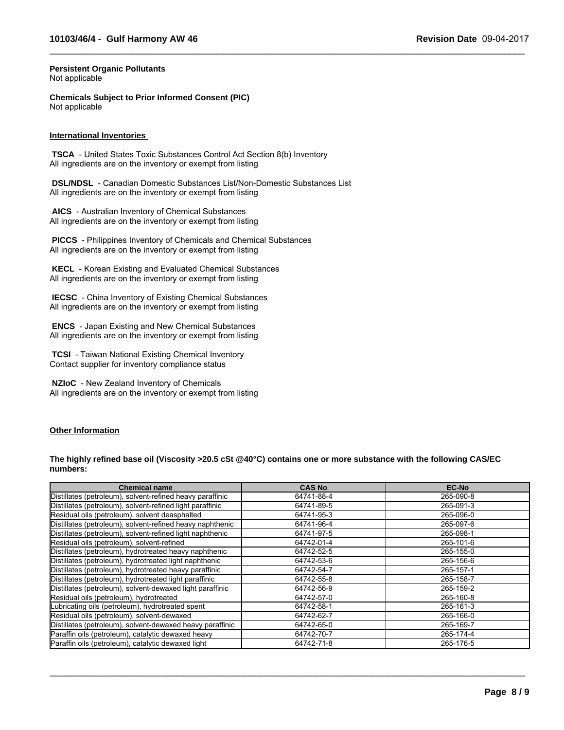$\_$  ,  $\_$  ,  $\_$  ,  $\_$  ,  $\_$  ,  $\_$  ,  $\_$  ,  $\_$  ,  $\_$  ,  $\_$  ,  $\_$  ,  $\_$  ,  $\_$  ,  $\_$  ,  $\_$  ,  $\_$  ,  $\_$  ,  $\_$  ,  $\_$  ,  $\_$  ,  $\_$  ,  $\_$  ,  $\_$  ,  $\_$  ,  $\_$  ,  $\_$  ,  $\_$  ,  $\_$  ,  $\_$  ,  $\_$  ,  $\_$  ,  $\_$  ,  $\_$  ,  $\_$  ,  $\_$  ,  $\_$  ,  $\_$  ,

#### **Persistent Organic Pollutants** Not applicable

**Chemicals Subject to Prior Informed Consent (PIC)** Not applicable

#### **International Inventories**

 **TSCA** - United States Toxic Substances Control Act Section 8(b) Inventory All ingredients are on the inventory or exempt from listing

 **DSL/NDSL** - Canadian Domestic Substances List/Non-Domestic Substances List All ingredients are on the inventory or exempt from listing

 **AICS** - Australian Inventory of Chemical Substances All ingredients are on the inventory or exempt from listing

 **PICCS** - Philippines Inventory of Chemicals and Chemical Substances All ingredients are on the inventory or exempt from listing

 **KECL** - Korean Existing and Evaluated Chemical Substances All ingredients are on the inventory or exempt from listing

 **IECSC** - China Inventory of Existing Chemical Substances All ingredients are on the inventory or exempt from listing

 **ENCS** - Japan Existing and New Chemical Substances All ingredients are on the inventory or exempt from listing

 **TCSI** - Taiwan National Existing Chemical Inventory Contact supplier for inventory compliance status

 **NZIoC** - New Zealand Inventory of Chemicals All ingredients are on the inventory or exempt from listing

#### **Other Information**

**The highly refined base oil (Viscosity >20.5 cSt @40°C) contains one or more substance with the following CAS/EC numbers:**

| <b>Chemical name</b>                                      | <b>CAS No</b> | <b>EC-No</b> |
|-----------------------------------------------------------|---------------|--------------|
| Distillates (petroleum), solvent-refined heavy paraffinic | 64741-88-4    | 265-090-8    |
| Distillates (petroleum), solvent-refined light paraffinic | 64741-89-5    | 265-091-3    |
| Residual oils (petroleum), solvent deasphalted            | 64741-95-3    | 265-096-0    |
| Distillates (petroleum), solvent-refined heavy naphthenic | 64741-96-4    | 265-097-6    |
| Distillates (petroleum), solvent-refined light naphthenic | 64741-97-5    | 265-098-1    |
| Residual oils (petroleum), solvent-refined                | 64742-01-4    | 265-101-6    |
| Distillates (petroleum), hydrotreated heavy naphthenic    | 64742-52-5    | 265-155-0    |
| Distillates (petroleum), hydrotreated light naphthenic    | 64742-53-6    | 265-156-6    |
| Distillates (petroleum), hydrotreated heavy paraffinic    | 64742-54-7    | 265-157-1    |
| Distillates (petroleum), hydrotreated light paraffinic    | 64742-55-8    | 265-158-7    |
| Distillates (petroleum), solvent-dewaxed light paraffinic | 64742-56-9    | 265-159-2    |
| Residual oils (petroleum), hydrotreated                   | 64742-57-0    | 265-160-8    |
| Lubricating oils (petroleum), hydrotreated spent          | 64742-58-1    | 265-161-3    |
| Residual oils (petroleum), solvent-dewaxed                | 64742-62-7    | 265-166-0    |
| Distillates (petroleum), solvent-dewaxed heavy paraffinic | 64742-65-0    | 265-169-7    |
| Paraffin oils (petroleum), catalytic dewaxed heavy        | 64742-70-7    | 265-174-4    |
| Paraffin oils (petroleum), catalytic dewaxed light        | 64742-71-8    | 265-176-5    |